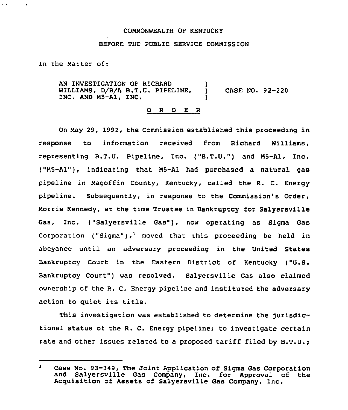# COMMONWEALTH OF KENTUCKY

### BEFORE THE PUBLIC SERVICE COMMISSION

In the Matter of:

 $\ddot{\phantom{1}}$ 

AN INVESTIGATION OF RICHARD WILLIAMS, D/B/A B.T.U. PIPELINE, INC. AND M5-A1, INC. ) ) CASE NO. 92-220 )

## 0 <sup>R</sup> <sup>D</sup> E <sup>R</sup>

On May 29, 1992, the Commission established this proceeding in response to information received from Richard Williams, representing B.T.U. Pipeline, Inc. {"B.T.U.") and MS-A1, Inc. ("M5-Al"), indicating that M5-Al had purchased a natural gas pipeline in Magoffin County, Kentucky, called the R. C. Energy pipeline. Subsequently, in response to the Commission's Order, Morris Kennedy, at the time Trustee in Bankruptcy for Salyersville Gas, Inc. ("Salyersville Gas"), now operating as Sigma Gas Corporation ("Sigma"),<sup>1</sup> moved that this proceeding be held in abeyance until an adversary proceeding in the United States Bankruptcy Court in the Eastern District of Kentucky ("U.S. Bankruptcy Court") was resolved. Salyersville Gas also claimed ownership of the R. C. Energy pipeline and instituted the adversary action to quiet its title.

This investigation was established to determine the jurisdictional status of the R. C. Energy pipeline; to investigate certain rate and other issues related to a proposed tariff filed by B.T.U.;

 $\mathbf{1}$ Case No. 93-349, The Joint Application of Sigma Gas Corporation and Salyersville Gas Company, Inc. for Approval of the Acquisition of Assets of Salyersville Gas Company, Inc.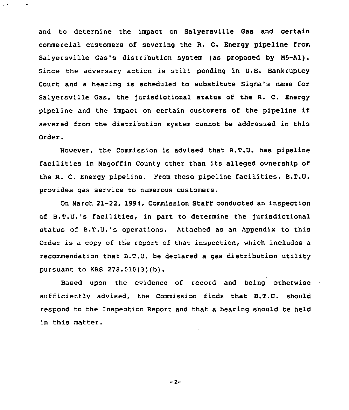and to determine the impact on Salyersville Gas and certain commercial customers of severing the R. C. Energy pipeline from Salyersville Gas's distribution system (as proposed by M5-Al). Since the adversary action is still pending in U.S. Bankruptcy Court and a hearing is scheduled to substitute Sigma's name for Salyersville Gas, the jurisdictional status of the R. C. Energy pipeline and the impact on certain customers of the pipeline if severed from the distribution system cannot be addressed in this Order.

However, the Commission is advised that B.T.U. has pipeline facilities in Nagoffin County other than its alleged ownership of the R. C. Energy pipeline. From these pipeline facilities, B.T.U. provides gas service to numerous customers.

On March 21-22, 1994, Commission Staff conducted an inspection of B.T.U.'s facilities, in part to determine the jurisdictional status of B.T.U.'s operations. Attached as an Appendix to this Order is <sup>a</sup> copy of the report of that inspection, which includes a recommendation that B.T.U. be declared a gas distribution utility pursuant to KRS 278.010(3)(b).

Based upon the evidence of record and being otherwise sufficiently advised, the Commission finds that B.T.U. should respond to the Inspection Report and that a hearing should be held in this matter.

 $-2-$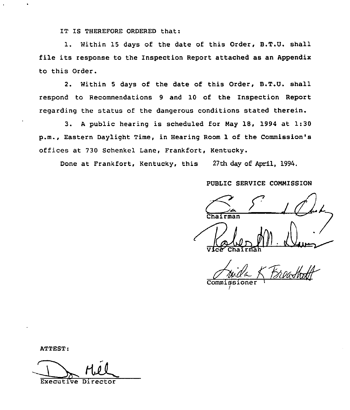IT IS THEREFORE ORDERED that:

1. Within 15 days of the date of this Order, B.T.U. shall file its response to the Inspection Report attached as an Appendix to this Order.

2. Within <sup>5</sup> days of the date of this Order, B.T.U. shall respond to Recommendations 9 and 10 of the Inspection Report regarding the status of the dangerous conditions stated therein.

3. <sup>A</sup> public hearing is scheduled for Nay 18, 1994 at 1:30 p.m., Eastern Daylight Time, in Hearing Room 1 of the Commission's offices at 730 Schenkel Lane, Frankfort, Kentucky.

Done at Frankfort, Kentucky, this 27th day of April, 1994.

PUBLIC SERVICE CONNISSION

i n'2~  $r$ man Robert M. Dun  $\sqrt{V}$  $C$  $\sqrt{V}$  $C$  $\sqrt{V}$  $C$  $\sqrt{V}$  $C$  $\sqrt{V}$  $C$  $\sqrt{V}$  $C$  $\sqrt{V}$  $C$  $\sqrt{V}$  $C$  $\sqrt{V}$  $C$  $\sqrt{V}$  $C$  $\sqrt{V}$  $C$  $\sqrt{V}$  $C$  $\sqrt{V}$  $C$  $\sqrt{V}$  $C$  $\sqrt{V}$  $C$  $\sqrt{V}$  $C$  $\sqrt{V}$  $C$  $\sqrt{V}$  $C$  $\sqrt{V}$  $C$  $\sqrt{V}$  $C$  $\sqrt{V}$  $C$  $\sqrt{V}$  $C$ 

See Chairman<br>Anida K Freashoff Commiss

/

ATTEST:

Executive Director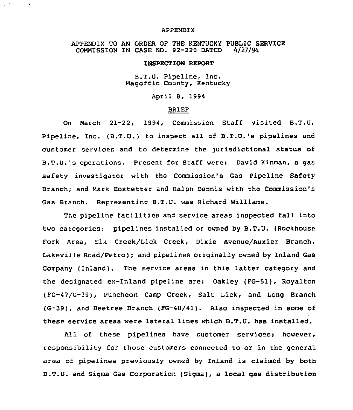#### APPENDIX

 $\mathcal{L}^{\mathcal{A}}$ 

APPENDIX TO AN ORDER OF THE KENTUCKY PUBLIC SERVICE<br>COMMISSION IN CASE NO. 92-220 DATED 4/27/94 COMMISSION IN CASE NO. 92-220 DATED

#### INSPECTION REPORT

B.T.U. Pipeline, Inc. Magoffin County, Kentucky

# April 8, 1994

### BRIEF

On March 21-22, 1994, Commission Staff visited B.T.U. Pipeline, Inc. (B.T.U.) to inspect all of B.T.U.'s pipelines and customer services and to determine the jurisdictional status of B.T.U.'s operations. Present for Staff were: David Kinman, a gas safety investigator with the Commission's Gas Pipeline Safety Branch; and Mark Hostetter and Ralph Dennis with the Commission's Gas Branch. Representing B.T.U. was Richard Williams.

The pipeline facilities and service areas inspected fall into two categories: pipelines installed or owned by B.T.U. (Rockhouse Fork Area, Elk Creek/Lick Creek, Dixie Avenue/Auxier Branch, Lakeville Road/Petro); and pipelines originally owned by Inland Gas Company (Inland). The service areas in this latter category and the designated ex-Inland pipeline are: Oakley (FG-51), Royalton (FG-47/G-39), Puncheon Camp Creek, Salt Lick, and Long Branch (G-39), and Beetree Branch (FG-40/41). Also inspected in some of these service areas were lateral lines which B.T.U. has installed.

All of these pipelines have customer services; however, responsibility for those customers connected to or in the general area of pipelines previously owned by Inland is claimed by both B.T.U. and Sigma Gas Corporation (Sigma), a local gas distribution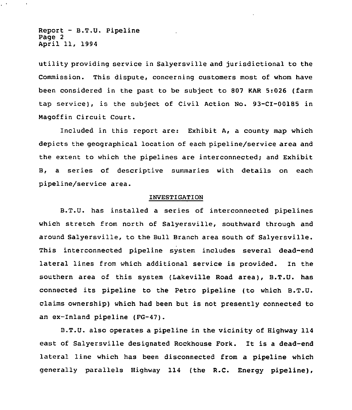Report — B.T.U. Pipeline Page 2 April 11, 1994

utility providing service in Salyersville and jurisdictional to the Commission. This dispute, concerning customers most of whom have been considered in the past to be subject to 807 KAR 5:026 (farm tap service), is the subject of Civil Action No. 93-CI-00185 in Magoffin Circuit Court.

Included in this report are: Exhibit A, a county map which depicts the geographical location of each pipeline/service area and the extent to which the pipelines are interconnected; and Exhibit B, a series of descriptive summaries with details on each pipeline/service area.

#### INVESTIGATION

B.T.U. has installed a series of interconnected pipelines which stretch from north of Salyersville, southward through and around Salyersville, to the Bull Branch area south of Salyersville. This interconnected pipeline system includes several dead-end lateral lines from which additional service is provided. In the southern area of this system (Lakeville Road area), B.T.U. has connected its pipeline to the Petro pipeline (to which B.T.U. claims ownership) which had been but is not presently connected to an ex-Inland pipeline (FG-47).

B.T.U. also operates a pipeline in the vicinity of Highway 114 east of Salyersville designated Rockhouse Fork. It is <sup>a</sup> dead-end lateral line which has been disconnected from a pipeline which generally parallels Highway 114 (the R.C. Energy pipeline),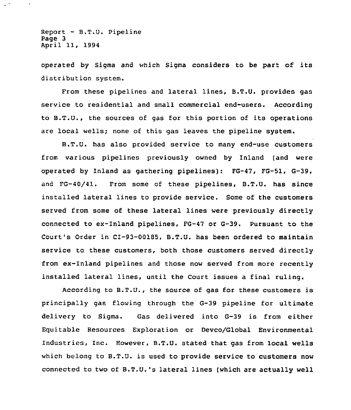Report — B.T.U. Pipeline Page 3 April 11, 1994

 $\hat{\phantom{a}}$ 

operated by Sigma and which Sigma considers to be part of its distribution system.

From these pipelines and lateral lines, B.T.U. provides gas service to residential and small commercial end-users. According to B.T.U., the sources of gas for this portion of its operations are local wells; none of this gas leaves the pipeline system.

B.T.U. has also provided service to many end-use customers from various pipelines previously owned by Inland (and were operated by Inland as gathering pipelines): FG-47, FG-51, G-39, and FG-40/41. From some of these pipelines, B.T.U. has since installed lateral lines to provide service. Some of the customers served from some of these lateral lines were previously directly connected to ex-Inland pipelines, FG-47 or G-39. Pursuant to the Court's Order in CI-93-00185, B.T.U. has been ordered to maintain service to these customers, both those customers served directly from ex-Inland pipelines and those now served from more recently installed lateral lines, until the Court issues a final ruling.

According to B.T.U., the source of gas for these customers is principally gas flowing through the G-39 pipeline for ultimate delivery to Sigma. Gas delivered into G-39 is from either Equitable Resources Exploration or Devco/Global Environmental Industries, Inc. However, B.T.U. stated that gas from local wells which belong to B.T.U. is used to provide service to customers now connected to two of B.T.U.'s lateral lines (which are actually well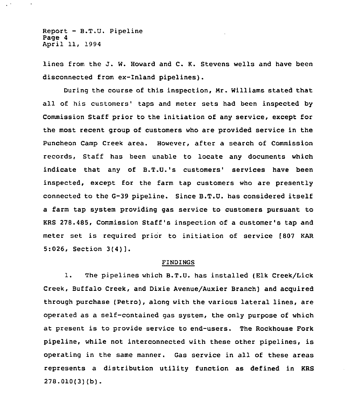Report — B.T.U. Pipeline Page 4 April 11, 1994

lines from the J. W. Howard and C. K. Stevens wells and have been disconnected from ex-Inland pipelines).

During the course of this inspection, Nr. Williams stated that all of his customers' taps and meter sets had been inspected by Commission Staff prior to the initiation of any service, except for the most recent group of customers who are provided service in the Puncheon Camp Creek area. However, after a search of Commission records, Staff has been unable to locate any documents which indicate that any of B.T.U.'s customers' services have been inspected, except for the farm tap customers who are presently connected to the G-39 pipeline. Since B.T.U. has considered itself a farm tap system providing gas service to customers pursuant to KRS 278.485, Commission Staff's inspection of a customer's tap and meter set is required prior to initiation of service [807 KAR 5:026, Section 3(4)].

#### FINDINGS

1. The pipelines which B.T.U. has installed (Elk Creek/Lick Creek, Buffalo Creek, and Dixie Avenue/Auxier Branch) and acquired through purchase (Petro), along with the various lateral lines, are operated as a self-contained gas system, the only purpose of which at present is to provide service to end-users. The Rockhouse Fork pipeline, while not interconnected with these other pipelines, is operating in the same manner. Gas service in all of these areas represents a distribution utility function as defined in KRS 278.010(3)(b).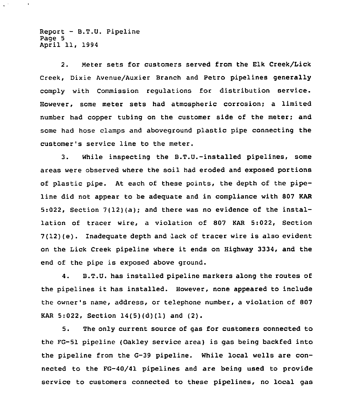Report — B.T.U. Pipeline Page 5 April 11, 1994

 $\bullet$ 

2. Meter sets for customers served from the Elk Creek/Lick Creek, Dixie Avenue/Auxier Branch and Petro pipelines generally comply with Commission regulations for distribution service. However, some meter sets had atmospheric corrosion; a limited number had copper tubing on the customer side of the meter; and some had hose clamps and aboveground plastic pipe connecting the customer's service line to the meter.

3. While inspecting the B.T.U.-installed pipelines, some areas were observed where the soil had eroded and exposed portions of plastic pipe. At each of these points, the depth of the pipeline did not appear to be adequate and in compliance with 807 KAR 5:022, Section 7(12)(a); and there was no evidence of the installation of tracer wire, a violation of 807 KAR 5:022, Section 7(12)(e). Inadequate depth and lack of tracer wire is also evident on the Lick Creek pipeline where it ends on Highway 3334, and the end of the pipe is exposed above ground.

4. B.T.U. has installed pipeline markers along the routes of the pipelines it has installed. However, none appeared to include the owner's name, address, or telephone number, a violation of 807 KAR 5:022, Section 14(5)(d)(1) and (2).

5. The only current source of gas for customers connected to the FG-51 pipeline (Oakley service area) is gas being backfed into the pipeline from the G-39 pipeline. While local wells are connected to the FG-40/41 pipelines and are being used to provide service to customers connected to these pipelines, no local gas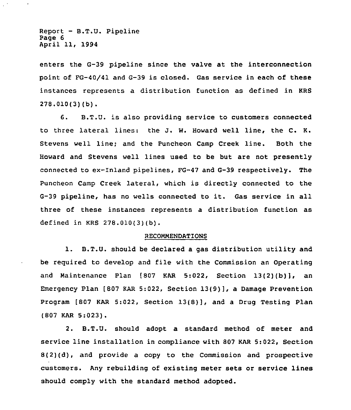Report — B.T.U. Pipeline Page 6 April 11, 1994

 $\bullet$ 

enters the G-39 pipeline since the valve at the interconnection point of FG-40/41 and G-39 is closed. Gas service in each of these instances represents a distribution function as defined in KRS 278.010(3)(b).

6. B.T.U. is also providing service to customers connected to three lateral lines: the J. W. Howard well line, the C. K. Stevens well line; and the Puncheon Camp Creek line. Both the Howard and Stevens well lines used to be but are not presently connected to ex-Inland pipelines, FG-47 and G-39 respectively. The Puncheon Camp Creek lateral, which is directly connected to the G-39 pipeline, has no wells connected to it. Gas service in all three of these instances represents a distribution function as defined in KRS 278.010[3){b).

# RECOMMENDATIONS

1. B.T.U. should be declared <sup>a</sup> gas distribution utility and be reguired to develop and file with the Commission an Operating and Maintenance Plan [807 KAR 5:022, Section 13(2)(b)], an Emergency Plan [807 KAR 5:022, Section  $13(9)$ ], a Damage Prevention Program [807 KAR 5:022, Section 13(S}], and <sup>a</sup> Drug Testing Plan (807 KAR 5:023).

2. B.T.U. should adopt a standard method of meter and service line installation in compliance with 807 KAR 5:022, Section 8(2)(d), and provide a copy to the Commission and prospective customers. Any rebuilding of existing meter sets or service lines should comply with the standard method adopted.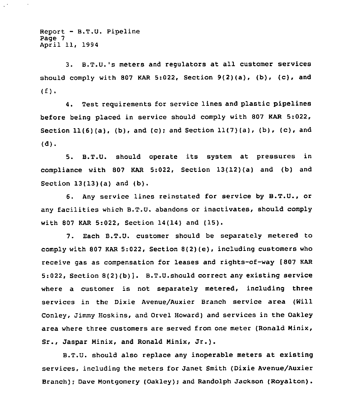$Report - B.T.U. Pipeline$ Page 7 April 11, 1994

3. B.T.U.'s meters and regulators at all customer services should comply with 807 KAR 5:022, Section  $9(2)(a)$ , (b),  $(c)$ , and  $(f)$ .

4. Test requirements for service lines and plastic pipelines before being placed in service should comply with 807 KAR 5:022, Section  $11(6)(a)$ , (b), and (c); and Section  $11(7)(a)$ , (b), (c), and (d).

5. B.T.U. should operate its system at pressures in compliance with 807 KAR 5:022, Section 13(12)(a) and (b) and Section 13(13)(a) and (b).

6. Any service lines reinstated for service by B.T.U., or any facilities which B.T.U. abandons or inactivates, should comply with <sup>807</sup> KAR 5:022, Section 14(14) and (15).

7. Each B.T.U. customer should be separately metered to comply with 807 KAR 5:022, Section 8(2)(e), including customers who receive gas as compensation for leases and rights-of-way (807 KAR 5:022, Section 8(2)(b)). B.T.U.should correct any existing service where a customer is not separately metered, including three services in the Dixie Avenue/Auxier Branch service area (Will Conley, Jimmy Hoskins, and Orvel Howard) and services in the Oakley area where three customers are served from one meter (Ronald Minix, Sr., Jaspar Minix, and Ronald Minix, Jr.).

B.T.U. should also replace any inoperable meters at existing services, including the meters for Janet Smith (Dixie Avenue/Auxier Branch); Dave Montgomery (Oakley); and Randolph Jackson (Royalton).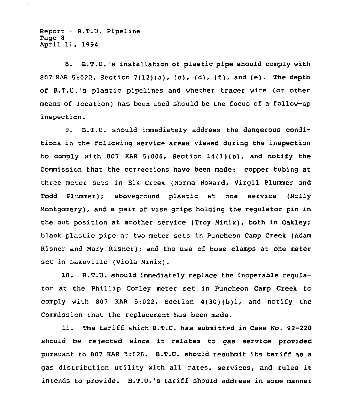Report - B.T.U. Pipeline Page 8 April 11, 1994

 $\bullet$ 

8. B.T.U.'s installation of plastic pipe should comply with <sup>807</sup> KAR 5:022, Section 7(12)(a), (c), (d), (f), and (e). The depth of B.T.U.'s plastic pipelines and whether tracer wire (or other means of location) has been used should be the focus of a follow-up inspection.

9. B.T.U. should immediately address the dangerous conditions in the following service areas viewed during the inspection to comply with 807 KAR 5:006, Section 14(1)(b), and notify the Commission that the corrections have been made; copper tubing at three meter sets in Elk Creek (Norma Howard, Virgil Plummer and Todd Plummer)," aboveground plastic at one service (Molly Montgomery), and a pair of vise grips holding the regulator pin in the out position at another service (Troy Minix), both in Oakley; black plastic pipe at two meter sets in Puncheon Camp Creek (Adam Risner and Mary Risner); and the use of hose clamps at one meter set in Lakeville (Viola Minix).

10. B.T.U. should immediately replace the inoperable regulator at the Phillip Conley meter set in Puncheon Camp Creek to comply with 807 KAR 5:022, Section 4(30)(b)1, and notify the Commission that the replacement has been made.

11. The tariff which B.T.U. has submitted in Case No. 92-220 should be rejected since it relates to gas service provided pursuant to <sup>807</sup> KAR 5:026. B.T.U. should resubmit its tariff as a gas distribution utility with all rates, services, and rules it intends to provide. B.T.U.'s tariff should address in some manner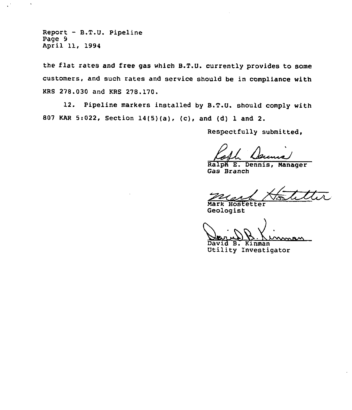Report - B.T.U. Pipeline Page 9 April 11, 1994

 $\ddot{\phantom{a}}$ 

the flat rates and free gas which B.T.U. currently provides to some customers, and such rates and service should be in compliance with KRS 278.030 and KRS 278.170.

12. Pipeline markers installed by B.T.U. should comply with <sup>807</sup> KAR 5:022, Section 14(5)(a), (c), and (d) 1 and 2.

Respectfully submitted,

Ralph E. Dennis, Manager Gas Branch

ペ Nark Hostetter

Geologist

 $\sim$ 

David B. Kinman Utility Investigator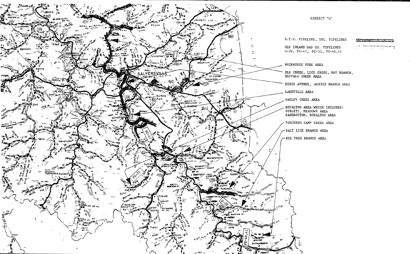

EXHIBIT "A"

il Tur and the second control of the

ELK CREEK, LICK CREEK, MAY BRANCH,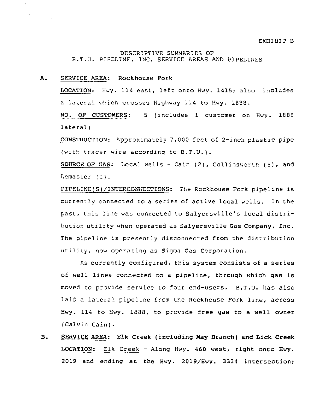# DESCRIPTIVE SUMMARIES OF B.T.U. PIPELINE, INC. SERVICE AREAS AND PIPELINES

### A. SERVICE AREA: Rockhouse Fork

LOCATION: Hwy. 114 east, left onto Hwy. 1415; also includes a lateral which crosses Highway 114 to Hwy. 1888.

NO. OF CUSTOMERS: <sup>5</sup> (includes 1 customer on Hwy. 1888 lateral)

CONSTRUCTION: Approximately 7,000 feet of 2-inch plastic pipe (with tracer wire according to B.T.U.}.

SOURCE OF GAS: Local wells - Cain (2), Collinsworth (5), and Lemaster (1).

PIPELINE(S)/INTERCONNECTIONS. The Rockhouse Fork pipeline is currently connected to a series of active local wells. In the past, this line was connected to Salyersville's local distribution utility when operated as Salyersville Gas Company, Inc. The pipeline is presently disconnected from the distribution utility, now operating as Sigma Gas Corporation.

As currently configured, this system consists of a series of well lines connected to a pipeline, through which gas is moved to provide service to four end-users. B.T.U. has also laid <sup>a</sup> lateral pipeline from the Rockhouse Fork line, across Hwy. 114 to Hwy. 1888, to provide free gas to a well owner (Calvin Cain).

**B.** SERVICE AREA: Elk Creek (including May Branch) and Lick Creek LOCATION: Elk Creek — Along Hwy. 460 west, right onto Hwy. 2019 and ending at the Hwy. 2019/Hwy. 3334 intersection;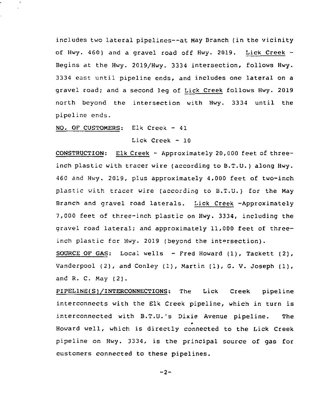includes two lateral pipelines--at May Branch (in the vicinity of Hwy. 460) and a gravel road off Hwy. 2019. Lick Creek Begins at the Hwy. 2019/Hwy. 3334 intersection, follows Hwy. 3334 east until pipeline ends, and includes one lateral on a gravel road; and a second leg of Lick Creek follows Hwy. 2019 north beyond the intersection with Hwy. 3334 until the pipeline ends.

NO. QF CUSTOMERS: Elk Creek — 41

Lick Creek — 10

CONSTRUCTION: Elk Creek — Approximately 20,000 feet of threeinch plastic with tracer wire (according to B.T.U.) along Hwy. 460 and Hwy. 2019, plus approximately 4,000 feet of two-inch plastic with tracer wire (according to B.T.U.) for the May Branch and gravel road laterals. Lick Creek -Approximately 7,000 feet of three-inch plastic on Hwy. 3334, including the gravel road lateral; and approximately 11,000 feet of threeinch plastic for Hwy. 2019 (beyond the intersection).

SOURCE OF GAS: Local wells — Fred Howard (1), Tackett (2), Vanderpool (2), and Conley (1), Martin (1), G. V. Joseph (1), and R. C. May (2).

PIPELINE(S)/INTERCONNECTIONS: The Lick Creek pipeline interconnects with the Elk Creek pipeline, which in turn is interconnected with B.T.U.'s Dixie Avenue pipeline. The Howard well, which is directly connected to the Lick Creek pipeline on Hwy. 3334, is the principal source of gas for customers connected to these pipelines.

 $-2-$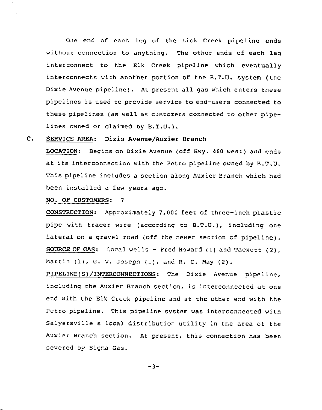One end of each leg of the Lick Creek pipeline ends without connection to anything. The other ends of each leg interconnect to the Elk Creek pipeline which eventually interconnects with another portion of the B.T.U. system (the Dixie Avenue pipeline). At present all gas which enters these pipelines is used to provide service to end-users connected to these pipelines (as well as customers connected to other pipelines owned or claimed by B.T.U.).

#### $c_{\bullet}$ SERVICE AREA: Dixie Avenue/Auxier Branch

LOCATION: Begins on Dixie Avenue (off Hwy. 460 west) and ends at its interconnection with the Petro pipeline owned by B.T.U. This pipeline includes a section along Auxier Branch which had been installed a few years ago.

# NO. OF CUSTOMERS: 7

CONSTRUCTION: Approximately 7,000 feet of three-inch plastic pipe with tracer wire (according to B.T.U.), including one lateral on <sup>a</sup> gravel road (off the newer section of pipeline). SOURCE OF GAS: Local wells - Fred Howard (1) and Tackett (2), Martin (1), G. V. Joseph (1), and R. C. May (2).

PIPELINE(S)/INTERCONNECTIONS: The Dixie Avenue pipeline, including the Auxier Branch section, is interconnected at one end with the Elk Creek pipeline and at the other end with the Petro pipeline. This pipeline system was interconnected with Salyersville's local distribution utility in the area of the Auxier Branch section. At present, this connection has been severed by Sigma Gas.

 $-3-$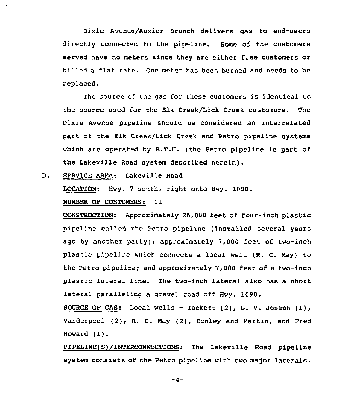Dixie Avenue/Auxier Branch delivers gas to end-users directly connected to the pipeline. Some of the customers served have no meters since they are either free customers or billed <sup>a</sup> flat rate. One meter has been burned and needs to be replaced.

The source of the gas for these customers is identical to the source used for the Elk Creek/Lick Creek customers. The Dixie Avenue pipeline should be considered an interrelated part of the Elk Creek/Lick Creek and Petro pipeline systems which are operated by B.T.U. (the Petro pipeline is part of the Lakeville Road system described herein).

 $D<sub>1</sub>$ SERVICE AREA: Lakeville Road

 $\bar{z}$ 

LOCATION; Hwy. <sup>7</sup> south, right onto Hwy. 1090.

NUMBER OP CUSTOMERS: 11

CONSTRUCTION: Approximately 26,000 feet of four-inch plastic pipeline called the Petro pipeline (installed several years ago by another party); approximately 7,000 feet of two-inch plastic pipeline which connects a local well (R. C. May) to the Petro pipeline; and approximately 7,000 feet of a two-inch plastic lateral line. The two-inch lateral also has a short lateral paralleling a gravel road off Hwy. 1090.

SOURCE OF GAS: Local wells - Tackett  $(2)$ , G. V. Joseph  $(1)$ , Vanderpool (2), R. C. May (2), Conley and Martin, and Fred Howard (1).

PIPELINE(S)/INTERCONNECTIONS: The Lakeville Road pipeline system consists of the Petro pipeline with two major laterals.

 $-4-$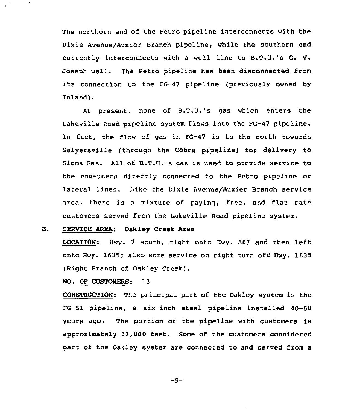The northern end of the Petro pipeline interconnects with the Dixie Avenue/Auxier Branch pipeline, while the southern end currently interconnects with <sup>a</sup> well line to B.T.U.'s G. V. Joseph well. The Petro pipeline has been disconnected from its connection to the FG-47 pipeline (previously owned by Inland).

At present, none of B.T.U.'s gas which enters the Lakeville Road pipeline system flows into the FG-47 pipeline. In fact, the flow of gas in FG-47 is to the north towards Salyersville (through the Cobra pipeline) for delivery to Sigma Gas. All of B.T.U.'s gas is used to provide service to the end-users directly connected to the Petro pipeline or lateral lines. Like the Dixie Avenue/Auxier Branch service area, there is a mixture of paying, free, and flat rate customers served from the Lakeville Road pipeline system.

#### E. SERVICE AREA: Oakley Creek Area

LOCATION: Hwy. <sup>7</sup> south, right onto Hwy. <sup>867</sup> and then left onto Hwy. 1635; also some service on right turn off Hwy. 1635 (Right Branch of Oakley Creek).

# NO. OF CUSTONERS: 13

 $\bullet$ 

CONSTRUCTION: The principal part of the Oakley system is the FG-51 pipeline, a six-inch steel pipeline installed 40-50 years ago. The portion of the pipeline with customers is approximately 13,000 feet. Some of the customers considered part of the Oakley system are connected to and served from a

 $-5-$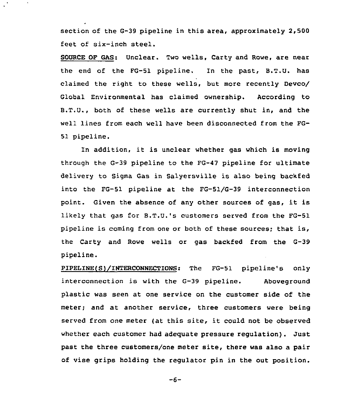section of the G-39 pipeline in this area, approximately 2,500 feet of six-inch steel.

SOURCE OF GAS: Unclear. Two wells, Carty and Rowe, are near the end of the FG-51 pipeline. In the past, B.T.U. has claimed the right to these wells, but more recently Devco/ Global Environmental has claimed ownership. According to B.T.U., both of these wells are currently shut in, and the well lines from each well have been disconnected from the FG-51 pipeline.

In addition, it is unclear whether gas which is moving through the G-39 pipeline to the FG-47 pipeline for ultimate delivery to Sigma Gas in Salyersville is also being backfed into the FG-51 pipeline at the FG-51/G-39 interconnection point. Given the absence of any other sources of gas, it is likely that gas for B.T.U.'s customers served from the FG-51 pipeline is coming from one or both of these sources; that is, the Carty and Rowe wells or gas backfed from the G-39 pipeline.

PIPELINE(S)/INTERCONNECTIONS: The FG-51 pipeline's only interconnection is with the G-39 pipeline. Aboveground plastic was seen at one service on the customer side of the meter; and at another service, three customers were being served from one meter (at this site, it could not be observed whether each customer had adequate pressure regulation). Just past the three customers/one meter site, there was also a pair of vise grips holding the regulator pin in the out position.

 $-6-$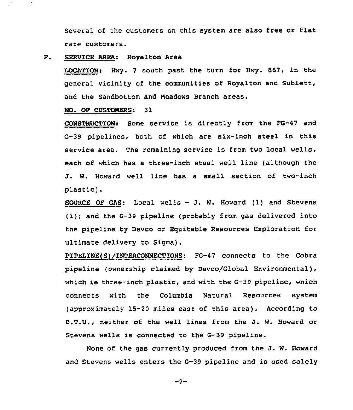Several of the customers on this system are also free or flat rate customers.

#### F. SERUICE AREA: Royalton Area

LOCATION."Hwy. 7 south past the turn for Hwy. 867, in the general vicinity of the communities of Royalton and Sublett, and the Sandbottom and Meadows Branch areas.

### NO. OF CUSTOMERS: 31

CONSTRUCTION: Some service is directly from the FG-47 and G-39 pipelines, both of which are six-inch steel in this service area. The remaining service is from two local wells, each of which has a three-inch steel well line (although the J. W. Howard well line has <sup>a</sup> small section of two-inch plastic).

SOURCE OF GAS: Local wells — J. W. Howard (1) and Stevens (1); and the G-39 pipeline (probably from gas delivered into the pipeline by Devco or Equitable Resources Exploration for ultimate delivery to Sigma).

PIPELINE(S)/INTERCONNECTIONS: FG-47 connects to the Cobra pipeline (ownership claimed by Devco/Global Environmental), which is three-inch plastic, and with the G-39 pipeline, which connects with the Columbia Natural Resources system (approximately 15-20 miles east of this area). According to B.T.U., neither of the well lines from the J. W. Howard or Stevens wells is connected to the G-39 pipeline.

None of the gas currently produced from the J. W. Howard and Stevens wells enters the G-39 pipeline and is used solely

 $-7-$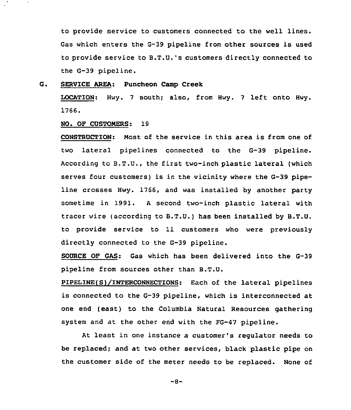to provide service to customers connected to the well lines. Gas which enters the G-39 pipeline from other sources is used to provide service to B.T.U.'s customers directly connected to the G-39 pipeline.

SERVICE AREA: Puncheon Camp Creek G.

> LOCATION: Hwy. <sup>7</sup> south; also, from Hwy. <sup>7</sup> left onto Hwy. 1766.

# NO. OF CUSTONERS: 19

 $\sim$ 

CONSTRUCTION: Most of the service in this area is from one of two lateral pipelines connected to the G-39 pipeline. According to B.T.U., the first two-inch plastic lateral (which serves four customers) is in the vicinity where the G-39 pipeline crosses Hwy. 1766, and was installed by another party sometime in 1991. <sup>A</sup> second two-inch plastic lateral with tracer wire (according to B.T.U.) has been installed by B.T.U. to provide service to 11 customers who were previously directly connected to the G-39 pipeline.

SOURCE OP GAS: Gas which has been delivered into the G-39 pipeline from sources other than B.T.U.

PIPELINE(S)/INTERCONNECTIQNS: Each of the lateral pipelines is connected to the G-39 pipeline, which is interconnected at one end (east) to the Columbia Natural Resources gathering system and at the other end with the FG-47 pipeline.

At least in one instance a customer's regulator needs to be replaced; and at two other services, black plastic pipe on the customer side of the meter needs to be replaced. None of

 $-8-$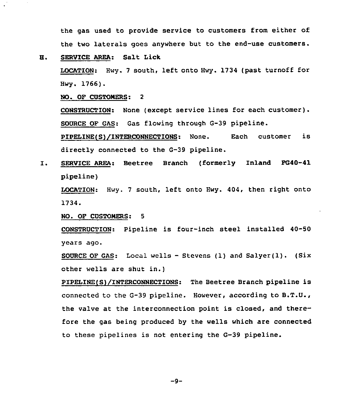the gas used to provide service to customers from either of the two laterals goes anywhere but to the end-use customers.

# H. SERVICE AREA: Salt Lick

LOCATION: Hwy. <sup>7</sup> south, left onto Hwy. 1734 (past turnoff for Hwy. 1766).

NO. OF CUSTOMERS: 2

CONSTRUCTION: None (except service lines for each customer). SOURCE OF GAS: Gas flowing through G-39 pipeline.

PIPELINE(S)/INTERCONNECTIONS: None. directly connected to the G-39 pipeline. Each customer is

SERVICE AREA: Beetree Branch (formerly Inland FG40-41  $I.$ pipeline)

LOCATION: Hwy. <sup>7</sup> south, left onto Hwy. 404, then right onto 1734.

NO. OF CUSTOMERS: 5

CONSTRUCTION: Pipeline is four-inch steel installed 40-50 years ago.

SOURCE OF GAS: Local wells - Stevens (1) and Salyer(1). (Six other wells are shut in.)

PIPELINE(S)/INTERCONNECTIONS: The Beetree Branch pipeline is connected to the G-39 pipeline. However, according to B.T.U., the valve at the interconnection point is closed, and therefore the gas being produced by the wells which are connected to these pipelines is not entering the G-39 pipeline.